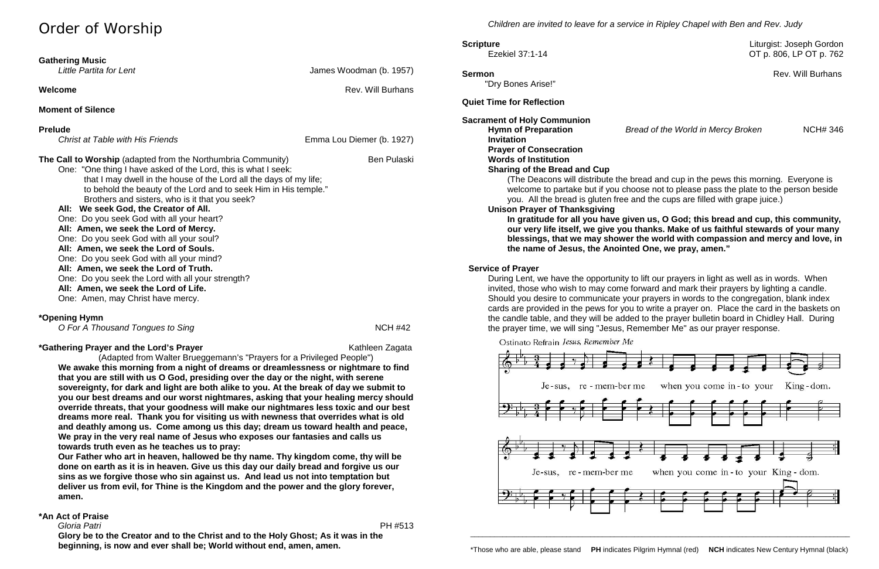# Order of Worship

| <b>Gathering Music</b><br>Little Partita for Lent                                                                                                                                                                                                                                                                                                                                                                                                                                                                                                                                                                                                                                                                                                                     | James Woodman (b. 1957)   |
|-----------------------------------------------------------------------------------------------------------------------------------------------------------------------------------------------------------------------------------------------------------------------------------------------------------------------------------------------------------------------------------------------------------------------------------------------------------------------------------------------------------------------------------------------------------------------------------------------------------------------------------------------------------------------------------------------------------------------------------------------------------------------|---------------------------|
| Welcome                                                                                                                                                                                                                                                                                                                                                                                                                                                                                                                                                                                                                                                                                                                                                               | <b>Rev. Will Burhans</b>  |
| <b>Moment of Silence</b>                                                                                                                                                                                                                                                                                                                                                                                                                                                                                                                                                                                                                                                                                                                                              |                           |
| <b>Prelude</b><br><b>Christ at Table with His Friends</b>                                                                                                                                                                                                                                                                                                                                                                                                                                                                                                                                                                                                                                                                                                             | Emma Lou Diemer (b. 1927) |
| The Call to Worship (adapted from the Northumbria Community)<br>One: "One thing I have asked of the Lord, this is what I seek:<br>that I may dwell in the house of the Lord all the days of my life;<br>to behold the beauty of the Lord and to seek Him in His temple."<br>Brothers and sisters, who is it that you seek?<br>All: We seek God, the Creator of All.<br>One: Do you seek God with all your heart?<br>All: Amen, we seek the Lord of Mercy.<br>One: Do you seek God with all your soul?<br>All: Amen, we seek the Lord of Souls.<br>One: Do you seek God with all your mind?<br>All: Amen, we seek the Lord of Truth.<br>One: Do you seek the Lord with all your strength?<br>All: Amen, we seek the Lord of Life.<br>One: Amen, may Christ have mercy. | <b>Ben Pulaski</b>        |
| *Opening Hymn<br>O For A Thousand Tongues to Sing                                                                                                                                                                                                                                                                                                                                                                                                                                                                                                                                                                                                                                                                                                                     | <b>NCH #42</b>            |
| *Gathering Prayer and the Lord's Prayer                                                                                                                                                                                                                                                                                                                                                                                                                                                                                                                                                                                                                                                                                                                               | Kathleen Zagata           |

(Adapted from Walter Brueggemann's "Prayers for a Privileged People") **We awake this morning from a night of dreams or dreamlessness or nightmare to find that you are still with us O God, presiding over the day or the night, with serene sovereignty, for dark and light are both alike to you. At the break of day we submit to you our best dreams and our worst nightmares, asking that your healing mercy should override threats, that your goodness will make our nightmares less toxic and our best dreams more real. Thank you for visiting us with newness that overrides what is old and deathly among us. Come among us this day; dream us toward health and peace, We pray in the very real name of Jesus who exposes our fantasies and calls us towards truth even as he teaches us to pray:**

**Our Father who art in heaven, hallowed be thy name. Thy kingdom come, thy will be done on earth as it is in heaven. Give us this day our daily bread and forgive us our sins as we forgive those who sin against us. And lead us not into temptation but deliver us from evil, for Thine is the Kingdom and the power and the glory forever, amen.**

#### **\*An Act of Praise**

 *Gloria Patri* PH #513

**Glory be to the Creator and to the Christ and to the Holy Ghost; As it was in the beginning, is now and ever shall be; World without end, amen, amen.**

*Children are invited to leave for a service in Ripley Chapel with Ben and Rev. Judy*

**Scripture** Liturgist: Joseph Gordon Ezekiel 37:1-14 OT p. 806, LP OT p. 762

**Sermon** Rev. Will Burhans

"Dry Bones Arise!"

#### **Quiet Time for Reflection**

**Sacrament of Holy Communion**

**Hymn of Preparation** *Bread of the World in Mercy Broken* NCH# 346

**Invitation Prayer of Consecration Words of Institution Sharing of the Bread and Cup Unison Prayer of Thanksgiving**

(The Deacons will distribute the bread and cup in the pews this morning. Everyone is welcome to partake but if you choose not to please pass the plate to the person beside you. All the bread is gluten free and the cups are filled with grape juice.)

**In gratitude for all you have given us, O God; this bread and cup, this community, our very life itself, we give you thanks. Make of us faithful stewards of your many blessings, that we may shower the world with compassion and mercy and love, in the name of Jesus, the Anointed One, we pray, amen."**

#### **Service of Prayer**

During Lent, we have the opportunity to lift our prayers in light as well as in words. When invited, those who wish to may come forward and mark their prayers by lighting a candle. Should you desire to communicate your prayers in words to the congregation, blank index cards are provided in the pews for you to write a prayer on. Place the card in the baskets on the candle table, and they will be added to the prayer bulletin board in Chidley Hall. During the prayer time, we will sing "Jesus, Remember Me" as our prayer response.

### Ostinato Refrain Jesus, Remember Me



\_\_\_\_\_\_\_\_\_\_\_\_\_\_\_\_\_\_\_\_\_\_\_\_\_\_\_\_\_\_\_\_\_\_\_\_\_\_\_\_\_\_\_\_\_\_\_\_\_\_\_\_\_\_\_\_\_\_\_\_\_\_\_\_\_\_\_\_\_\_\_\_\_\_\_\_\_\_\_\_\_\_\_\_\_\_\_\_\_\_\_\_\_\_\_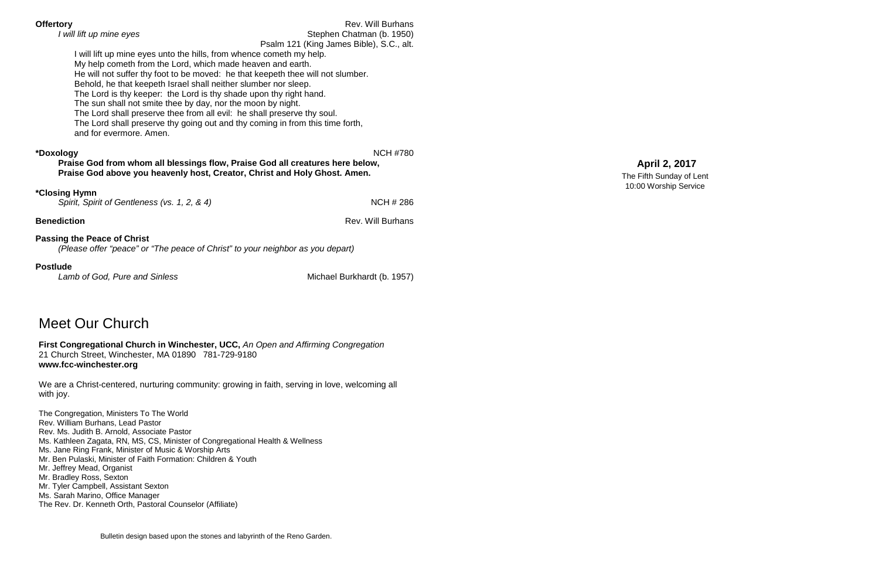| <b>Offertory</b>                                                                | <b>Rev. Will Burhans</b>                 |
|---------------------------------------------------------------------------------|------------------------------------------|
| I will lift up mine eyes                                                        | Stephen Chatman (b. 1950)                |
|                                                                                 | Psalm 121 (King James Bible), S.C., alt. |
| I will lift up mine eyes unto the hills, from whence cometh my help.            |                                          |
| My help cometh from the Lord, which made heaven and earth.                      |                                          |
| He will not suffer thy foot to be moved: he that keepeth thee will not slumber. |                                          |
| Behold, he that keepeth Israel shall neither slumber nor sleep.                 |                                          |
| The Lord is thy keeper: the Lord is thy shade upon thy right hand.              |                                          |
| The sun shall not smite thee by day, nor the moon by night.                     |                                          |
| The Lord shall preserve thee from all evil: he shall preserve thy soul.         |                                          |
| The Lord shall preserve thy going out and thy coming in from this time forth,   |                                          |
| and for evermore. Amen.                                                         |                                          |
|                                                                                 |                                          |
| *Doxology                                                                       | <b>NCH #780</b>                          |
| Praise God from whom all blessings flow, Praise God all creatures here below,   |                                          |
| Praise God above you heavenly host, Creator, Christ and Holy Ghost. Amen.       |                                          |
|                                                                                 |                                          |
| <i><b>*Closing Hymn</b></i>                                                     |                                          |
| Spirit, Spirit of Gentleness (vs. 1, 2, & 4)                                    | <b>NCH #286</b>                          |
|                                                                                 |                                          |
| <b>Benediction</b>                                                              | <b>Rev. Will Burhans</b>                 |
|                                                                                 |                                          |
| <b>Passing the Peace of Christ</b>                                              |                                          |
| (Please offer "peace" or "The peace of Christ" to your neighbor as you depart)  |                                          |
|                                                                                 |                                          |
| <b>Postlude</b>                                                                 |                                          |

Lamb of God, Pure and Sinless **Michael Burkhardt (b. 1957)** Michael Burkhardt (b. 1957)

Meet Our Church

# **First Congregational Church in Winchester, UCC,** *An Open and Affirming Congregation* 21 Church Street, Winchester, MA 01890 781-729-9180

### **www.fcc-winchester.org**

We are a Christ-centered, nurturing community: growing in faith, serving in love, welcoming all with joy.

The Congregation, Ministers To The World Rev. William Burhans, Lead Pastor Rev. Ms. Judith B. Arnold, Associate Pastor Ms. Kathleen Zagata, RN, MS, CS, Minister of Congregational Health & Wellness Ms. Jane Ring Frank, Minister of Music & Worship Arts Mr. Ben Pulaski, Minister of Faith Formation: Children & Youth Mr. Jeffrey Mead, Organist Mr. Bradley Ross, Sexton Mr. Tyler Campbell, Assistant Sexton Ms. Sarah Marino, Office Manager The Rev. Dr. Kenneth Orth, Pastoral Counselor (Affiliate)

## **April 2, 2017**

The Fifth Sunday of Lent 10:00 Worship Service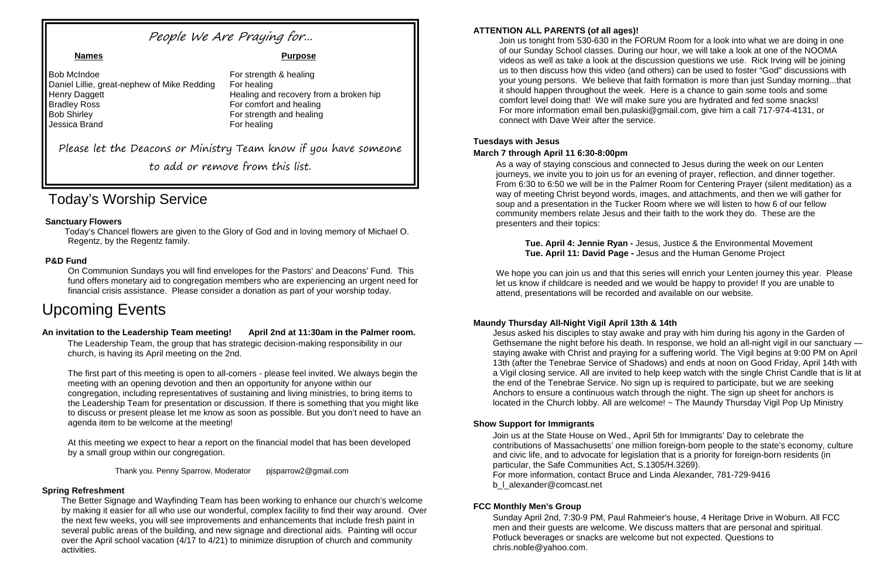# Today's Worship Service

### **Sanctuary Flowers**

Today's Chancel flowers are given to the Glory of God and in loving memory of Michael O. Regentz, by the Regentz family.

### **P&D Fund**

On Communion Sundays you will find envelopes for the Pastors' and Deacons' Fund. This fund offers monetary aid to congregation members who are experiencing an urgent need for financial crisis assistance. Please consider a donation as part of your worship today.

# Upcoming Events

#### **An invitation to the Leadership Team meeting! April 2nd at 11:30am in the Palmer room.**

The Leadership Team, the group that has strategic decision-making responsibility in our church, is having its April meeting on the 2nd.

The first part of this meeting is open to all-comers - please feel invited. We always begin the meeting with an opening devotion and then an opportunity for anyone within our congregation, including representatives of sustaining and living ministries, to bring items to the Leadership Team for presentation or discussion. If there is something that you might like to discuss or present please let me know as soon as possible. But you don't need to have an agenda item to be welcome at the meeting!

At this meeting we expect to hear a report on the financial model that has been developed by a small group within our congregation.

Thank you. Penny Sparrow, Moderator pjsparrow2@gmail.com

#### **Spring Refreshment**

The Better Signage and Wayfinding Team has been working to enhance our church's welcome by making it easier for all who use our wonderful, complex facility to find their way around. Over the next few weeks, you will see improvements and enhancements that include fresh paint in several public areas of the building, and new signage and directional aids. Painting will occur over the April school vacation (4/17 to 4/21) to minimize disruption of church and community activities.

We hope you can join us and that this series will enrich your Lenten journey this year. Please let us know if childcare is needed and we would be happy to provide! If you are unable to attend, presentations will be recorded and available on our website.

#### **ATTENTION ALL PARENTS (of all ages)!**

Join us at the State House on Wed., April 5th for Immigrants' Day to celebrate the contributions of Massachusetts' one million foreign-born people to the state's economy, culture and civic life, and to advocate for legislation that is a priority for foreign-born residents (in particular, the Safe Communities Act, S.1305/H.3269). For more information, contact Bruce and Linda Alexander, 781-729-9416 b | alexander@comcast.net

Join us tonight from 530-630 in the FORUM Room for a look into what we are doing in one of our Sunday School classes. During our hour, we will take a look at one of the NOOMA videos as well as take a look at the discussion questions we use. Rick Irving will be joining us to then discuss how this video (and others) can be used to foster "God" discussions with your young persons. We believe that faith formation is more than just Sunday morning...that it should happen throughout the week. Here is a chance to gain some tools and some comfort level doing that! We will make sure you are hydrated and fed some snacks! For more information email ben.pulaski@gmail.com, give him a call 717-974-4131, or connect with Dave Weir after the service.

### **Tuesdays with Jesus**

#### **March 7 through April 11 6:30-8:00pm**

As a way of staying conscious and connected to Jesus during the week on our Lenten journeys, we invite you to join us for an evening of prayer, reflection, and dinner together. From 6:30 to 6:50 we will be in the Palmer Room for Centering Prayer (silent meditation) as a way of meeting Christ beyond words, images, and attachments, and then we will gather for soup and a presentation in the Tucker Room where we will listen to how 6 of our fellow community members relate Jesus and their faith to the work they do. These are the presenters and their topics:

**Tue. April 4: Jennie Ryan -** Jesus, Justice & the Environmental Movement **Tue. April 11: David Page -** Jesus and the Human Genome Project

#### **Maundy Thursday All-Night Vigil April 13th & 14th**

Jesus asked his disciples to stay awake and pray with him during his agony in the Garden of Gethsemane the night before his death. In response, we hold an all-night vigil in our sanctuary staying awake with Christ and praying for a suffering world. The Vigil begins at 9:00 PM on April 13th (after the Tenebrae Service of Shadows) and ends at noon on Good Friday, April 14th with a Vigil closing service. All are invited to help keep watch with the single Christ Candle that is lit at the end of the Tenebrae Service. No sign up is required to participate, but we are seeking Anchors to ensure a continuous watch through the night. The sign up sheet for anchors is located in the Church lobby. All are welcome! ~ The Maundy Thursday Vigil Pop Up Ministry

#### **Show Support for Immigrants**

#### **FCC Monthly Men's Group**

Sunday April 2nd, 7:30-9 PM, Paul Rahmeier's house, 4 Heritage Drive in Woburn. All FCC men and their guests are welcome. We discuss matters that are personal and spiritual. Potluck beverages or snacks are welcome but not expected. Questions to chris.noble@yahoo.com.

## People We Are Praying for...

Bob McIndoe **For strength & healing** Daniel Lillie, great-nephew of Mike Redding For healing Henry Daggett Healing and recovery from a broken hip **Bradley Ross** For comfort and healing Bob Shirley **For strength and healing** Jessica Brand For healing

#### **Names Purpose**

Please let the Deacons or Ministry Team know if you have someone

to add or remove from this list.